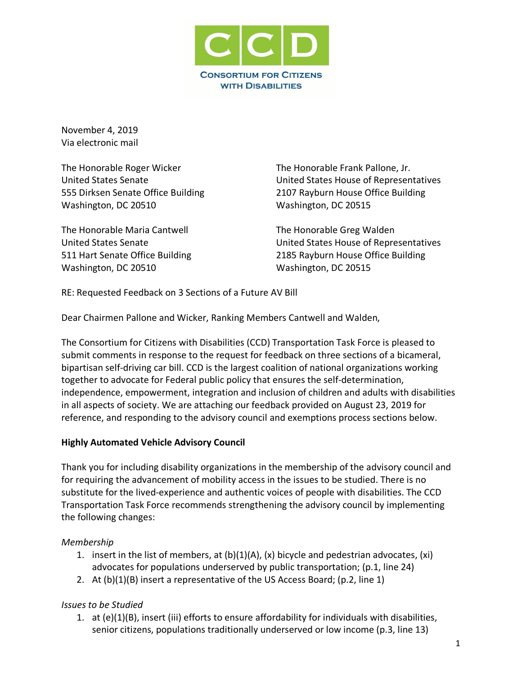

November 4, 2019 Via electronic mail

The Honorable Roger Wicker United States Senate 555 Dirksen Senate Office Building Washington, DC 20510

The Honorable Maria Cantwell United States Senate 511 Hart Senate Office Building Washington, DC 20510

The Honorable Frank Pallone, Jr. United States House of Representatives 2107 Rayburn House Office Building Washington, DC 20515

The Honorable Greg Walden United States House of Representatives 2185 Rayburn House Office Building Washington, DC 20515

RE: Requested Feedback on 3 Sections of a Future AV Bill

Dear Chairmen Pallone and Wicker, Ranking Members Cantwell and Walden,

The Consortium for Citizens with Disabilities (CCD) Transportation Task Force is pleased to submit comments in response to the request for feedback on three sections of a bicameral, bipartisan self-driving car bill. CCD is the largest coalition of national organizations working together to advocate for Federal public policy that ensures the self-determination, independence, empowerment, integration and inclusion of children and adults with disabilities in all aspects of society. We are attaching our feedback provided on August 23, 2019 for reference, and responding to the advisory council and exemptions process sections below.

#### **Highly Automated Vehicle Advisory Council**

Thank you for including disability organizations in the membership of the advisory council and for requiring the advancement of mobility access in the issues to be studied. There is no substitute for the lived-experience and authentic voices of people with disabilities. The CCD Transportation Task Force recommends strengthening the advisory council by implementing the following changes:

## *Membership*

- 1. insert in the list of members, at  $(b)(1)(A)$ ,  $(x)$  bicycle and pedestrian advocates,  $(xi)$ advocates for populations underserved by public transportation; (p.1, line 24)
- 2. At (b)(1)(B) insert a representative of the US Access Board; (p.2, line 1)

## *Issues to be Studied*

1. at (e)(1)(B), insert (iii) efforts to ensure affordability for individuals with disabilities, senior citizens, populations traditionally underserved or low income (p.3, line 13)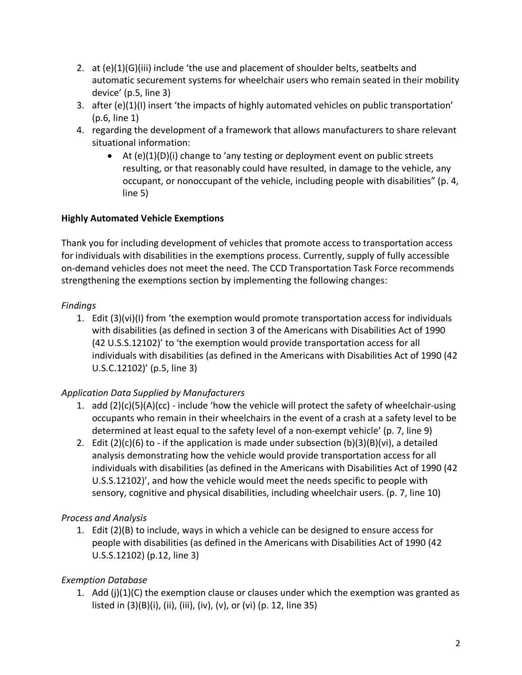- 2. at (e)(1)(G)(iii) include 'the use and placement of shoulder belts, seatbelts and automatic securement systems for wheelchair users who remain seated in their mobility device' (p.5, line 3)
- 3. after (e)(1)(I) insert 'the impacts of highly automated vehicles on public transportation' (p.6, line 1)
- 4. regarding the development of a framework that allows manufacturers to share relevant situational information:
	- At  $(e)(1)(D)(i)$  change to 'any testing or deployment event on public streets resulting, or that reasonably could have resulted, in damage to the vehicle, any occupant, or nonoccupant of the vehicle, including people with disabilities" (p. 4, line 5)

# **Highly Automated Vehicle Exemptions**

Thank you for including development of vehicles that promote access to transportation access for individuals with disabilities in the exemptions process. Currently, supply of fully accessible on-demand vehicles does not meet the need. The CCD Transportation Task Force recommends strengthening the exemptions section by implementing the following changes:

## *Findings*

1. Edit (3)(vi)(I) from 'the exemption would promote transportation access for individuals with disabilities (as defined in section 3 of the Americans with Disabilities Act of 1990 (42 U.S.S.12102)' to 'the exemption would provide transportation access for all individuals with disabilities (as defined in the Americans with Disabilities Act of 1990 (42 U.S.C.12102)' (p.5, line 3)

# *Application Data Supplied by Manufacturers*

- 1. add  $(2)(c)(5)(A)(cc)$  include 'how the vehicle will protect the safety of wheelchair-using occupants who remain in their wheelchairs in the event of a crash at a safety level to be determined at least equal to the safety level of a non-exempt vehicle' (p. 7, line 9)
- 2. Edit  $(2)(c)(6)$  to if the application is made under subsection  $(b)(3)(B)(vi)$ , a detailed analysis demonstrating how the vehicle would provide transportation access for all individuals with disabilities (as defined in the Americans with Disabilities Act of 1990 (42 U.S.S.12102)', and how the vehicle would meet the needs specific to people with sensory, cognitive and physical disabilities, including wheelchair users. (p. 7, line 10)

# *Process and Analysis*

1. Edit (2)(B) to include, ways in which a vehicle can be designed to ensure access for people with disabilities (as defined in the Americans with Disabilities Act of 1990 (42 U.S.S.12102) (p.12, line 3)

# *Exemption Database*

1. Add  $(j)(1)(C)$  the exemption clause or clauses under which the exemption was granted as listed in (3)(B)(i), (ii), (iii), (iv), (v), or (vi) (p. 12, line 35)